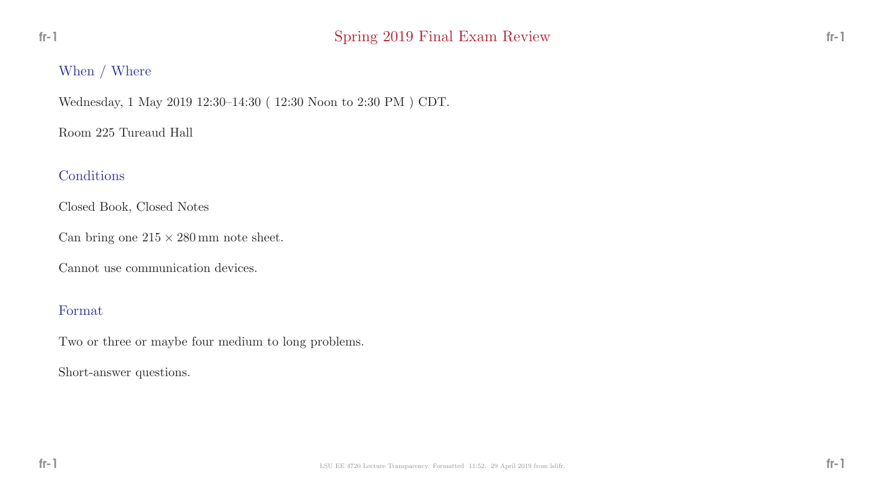### When / Where

Wednesday, 1 May 2019 12:30–14:30 ( 12:30 Noon to 2:30 PM ) CDT.

Room 225 Tureaud Hall

### Conditions

Closed Book, Closed Notes

Can bring one  $215 \times 280$  mm note sheet.

Cannot use communication devices.

### Format

Two or three or maybe four medium to long problems.

Short-answer questions.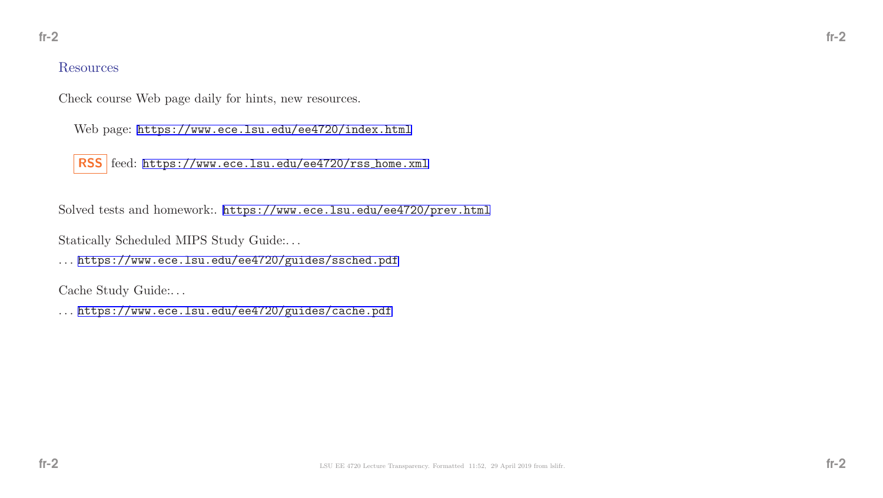#### Resources

Check course Web page daily for hints, new resources.

Web page: <https://www.ece.lsu.edu/ee4720/index.html>

RSS feed: [https://www.ece.lsu.edu/ee4720/rss](https://www.ece.lsu.edu/ee4720/rssunhbox voidb@x kern .06em vbox {hrule width.3em}home.xml)\_home.xml

Solved tests and homework:. <https://www.ece.lsu.edu/ee4720/prev.html>

Statically Scheduled MIPS Study Guide:. . .

. . . <https://www.ece.lsu.edu/ee4720/guides/ssched.pdf>

Cache Study Guide:. . .

. . . <https://www.ece.lsu.edu/ee4720/guides/cache.pdf>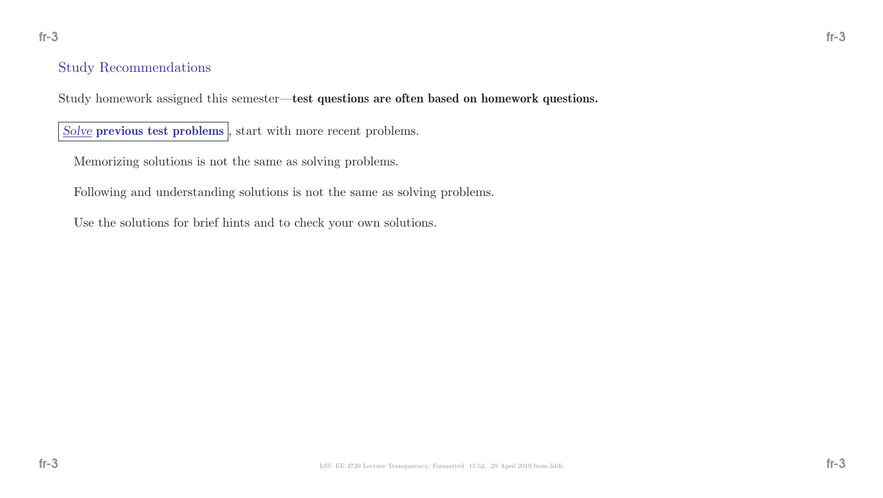### Study Recommendations

Study homework assigned this semester—test questions are often based on homework questions.

Solve previous test problems, start with more recent problems.

Memorizing solutions is not the same as solving problems.

Following and understanding solutions is not the same as solving problems.

Use the solutions for brief hints and to check your own solutions.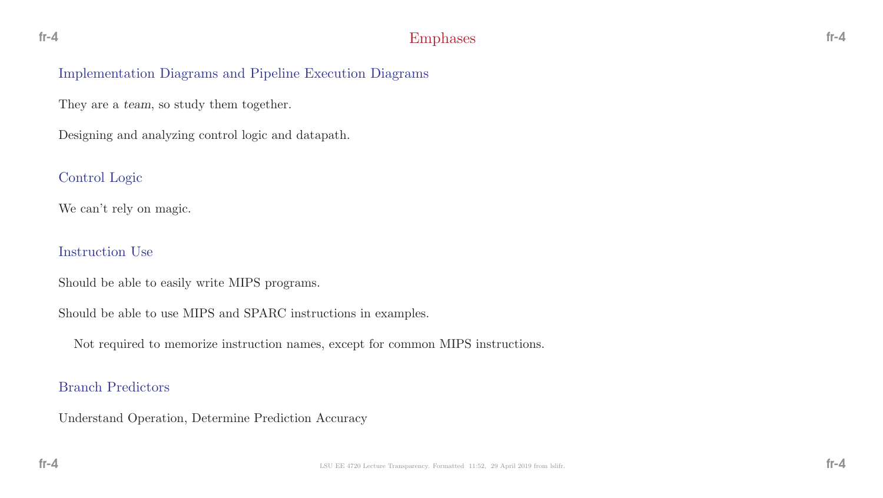### Implementation Diagrams and Pipeline Execution Diagrams

They are a team, so study them together.

Designing and analyzing control logic and datapath.

## Control Logic

We can't rely on magic.

### Instruction Use

Should be able to easily write MIPS programs.

Should be able to use MIPS and SPARC instructions in examples.

Not required to memorize instruction names, except for common MIPS instructions.

### Branch Predictors

Understand Operation, Determine Prediction Accuracy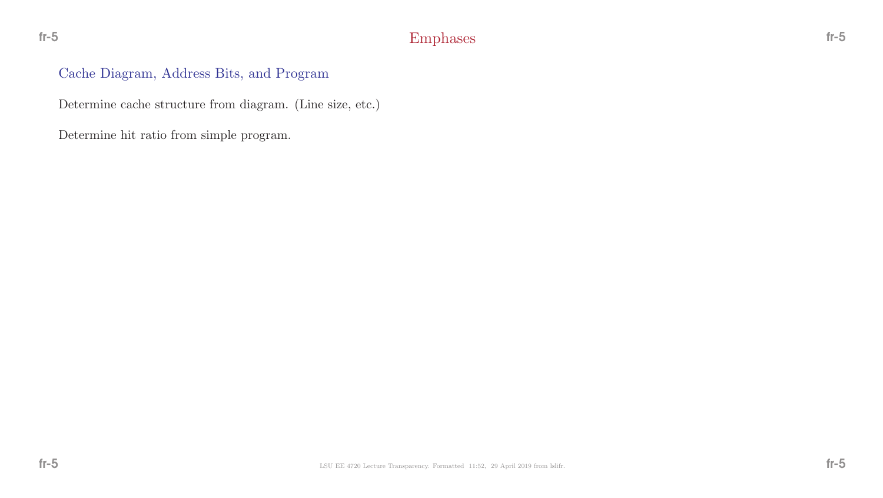## Cache Diagram, Address Bits, and Program

Determine cache structure from diagram. (Line size, etc.)

Determine hit ratio from simple program.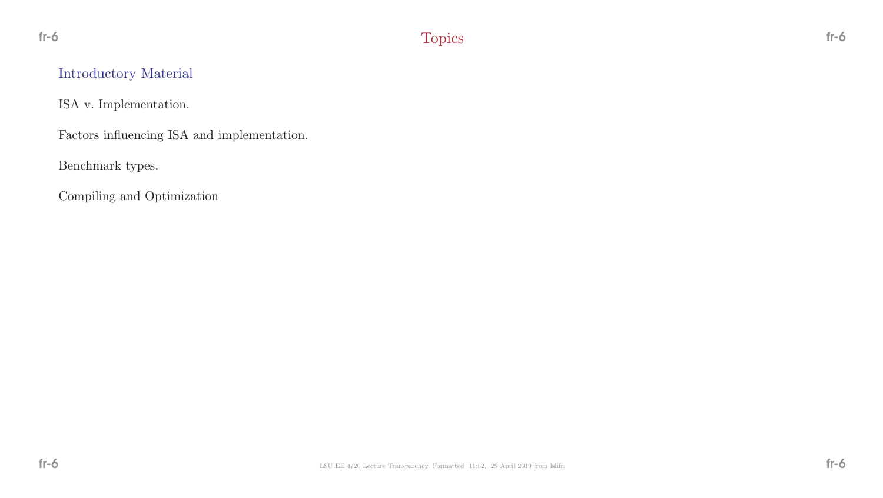# Introductory Material

ISA v. Implementation.

Factors influencing ISA and implementation.

Benchmark types.

Compiling and Optimization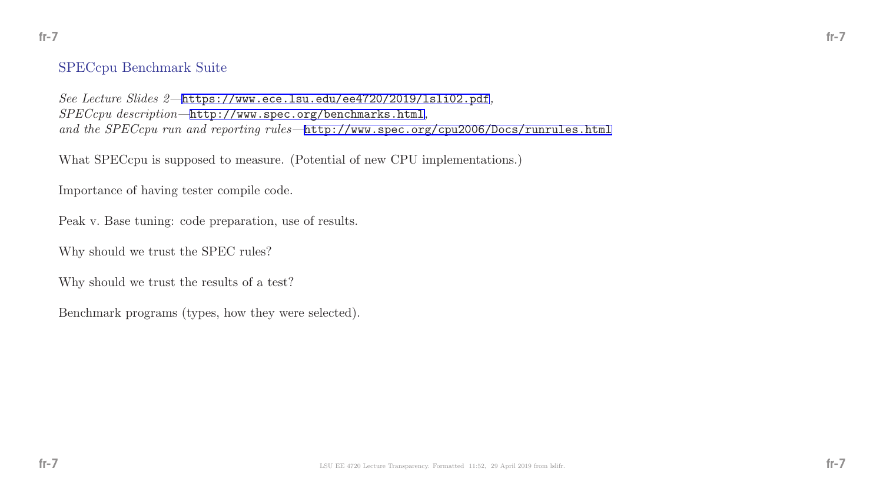#### SPECcpu Benchmark Suite

See Lecture Slides 2—<https://www.ece.lsu.edu/ee4720/2019/lsli02.pdf>, SPECcpu description—<http://www.spec.org/benchmarks.html>, and the SPECcpu run and reporting rules-<http://www.spec.org/cpu2006/Docs/runrules.html>

What SPECcpu is supposed to measure. (Potential of new CPU implementations.)

Importance of having tester compile code.

Peak v. Base tuning: code preparation, use of results.

Why should we trust the SPEC rules?

Why should we trust the results of a test?

Benchmark programs (types, how they were selected).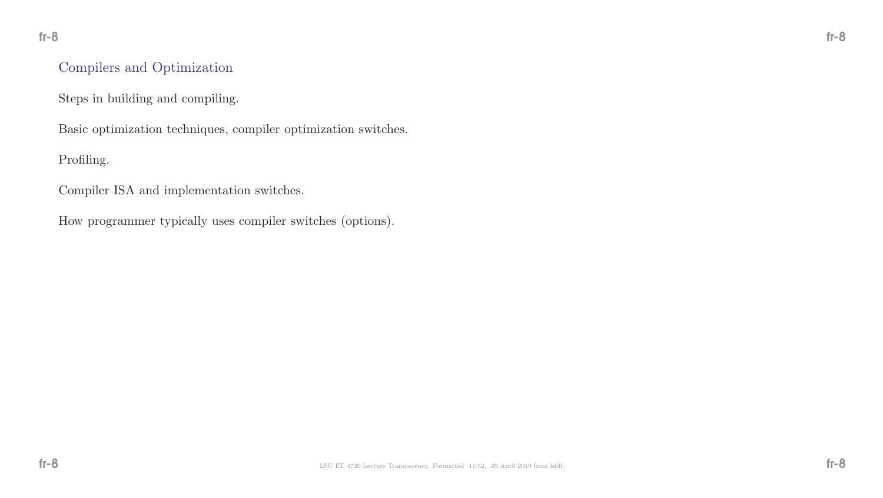## Compilers and Optimization

Steps in building and compiling.

Basic optimization techniques, compiler optimization switches.

Profiling.

Compiler ISA and implementation switches.

How programmer typically uses compiler switches (options).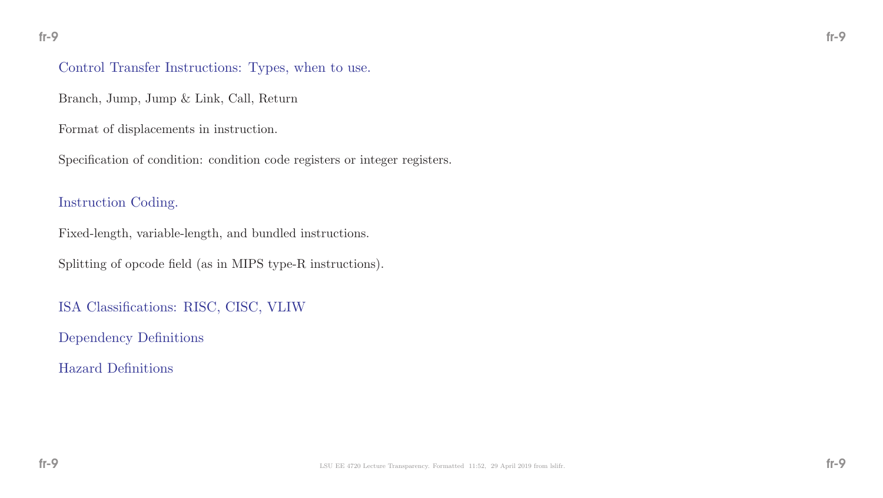### Control Transfer Instructions: Types, when to use.

Branch, Jump, Jump & Link, Call, Return

Format of displacements in instruction.

Specification of condition: condition code registers or integer registers.

### Instruction Coding.

Fixed-length, variable-length, and bundled instructions.

Splitting of opcode field (as in MIPS type-R instructions).

ISA Classifications: RISC, CISC, VLIW

Dependency Definitions

Hazard Definitions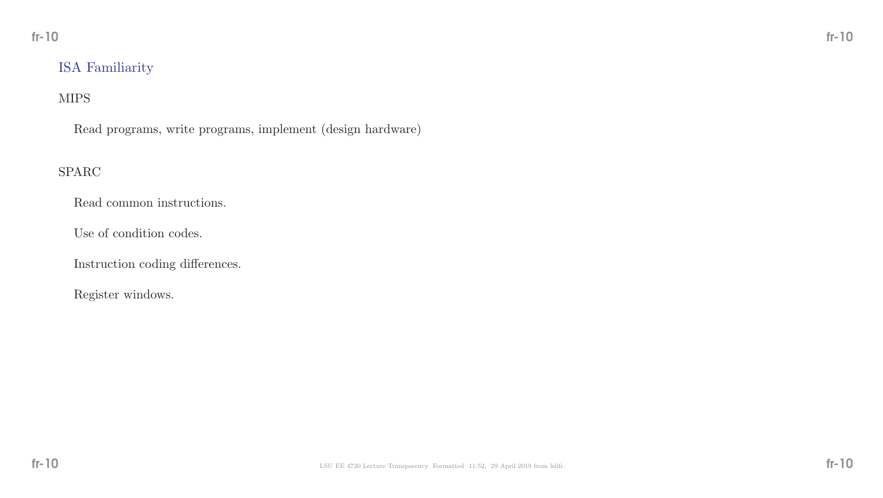## ISA Familiarity

### MIPS

Read programs, write programs, implement (design hardware)

## SPARC

Read common instructions.

Use of condition codes.

Instruction coding differences.

Register windows.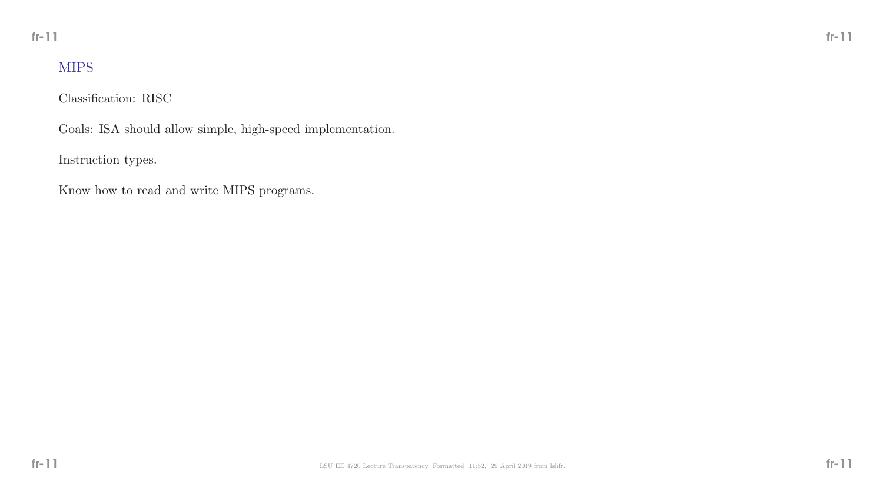# MIPS

Classification: RISC

Goals: ISA should allow simple, high-speed implementation.

Instruction types.

Know how to read and write MIPS programs.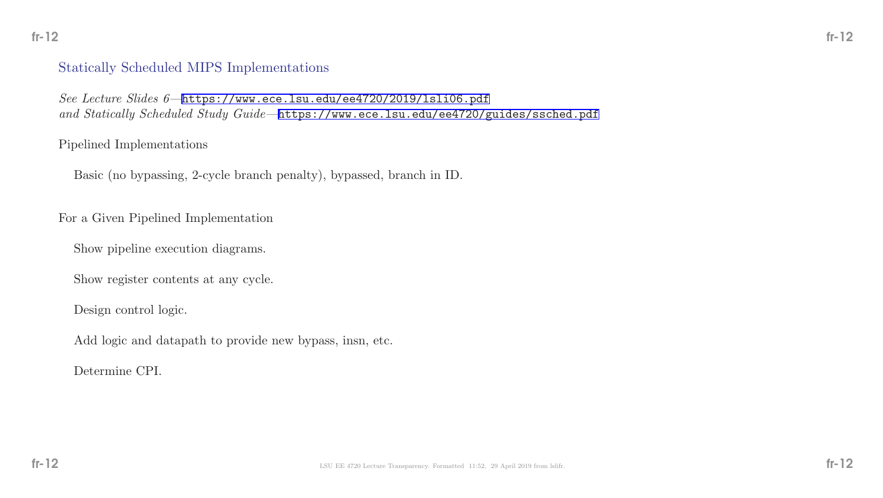## Statically Scheduled MIPS Implementations

See Lecture Slides 6—<https://www.ece.lsu.edu/ee4720/2019/lsli06.pdf> and Statically Scheduled Study Guide-<https://www.ece.lsu.edu/ee4720/guides/ssched.pdf>

#### Pipelined Implementations

Basic (no bypassing, 2-cycle branch penalty), bypassed, branch in ID.

For a Given Pipelined Implementation

Show pipeline execution diagrams.

Show register contents at any cycle.

Design control logic.

Add logic and datapath to provide new bypass, insn, etc.

Determine CPI.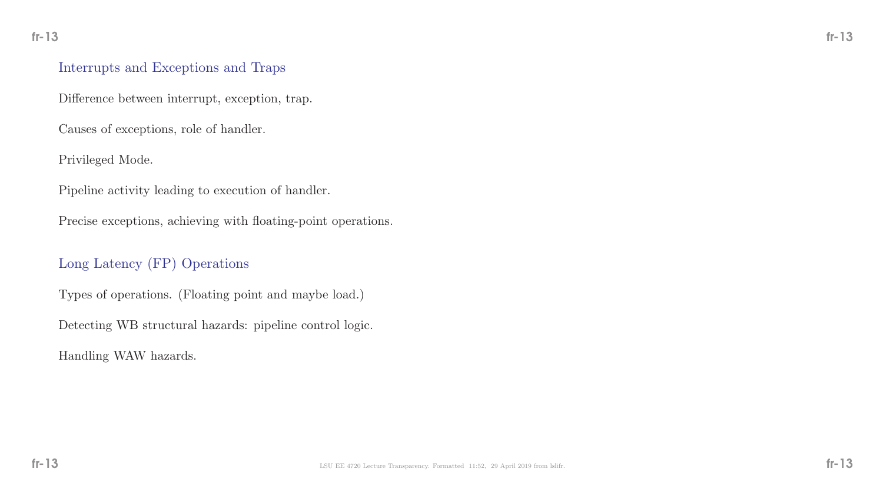### Interrupts and Exceptions and Traps

Difference between interrupt, exception, trap.

Causes of exceptions, role of handler.

Privileged Mode.

Pipeline activity leading to execution of handler.

Precise exceptions, achieving with floating-point operations.

## Long Latency (FP) Operations

Types of operations. (Floating point and maybe load.)

Detecting WB structural hazards: pipeline control logic.

Handling WAW hazards.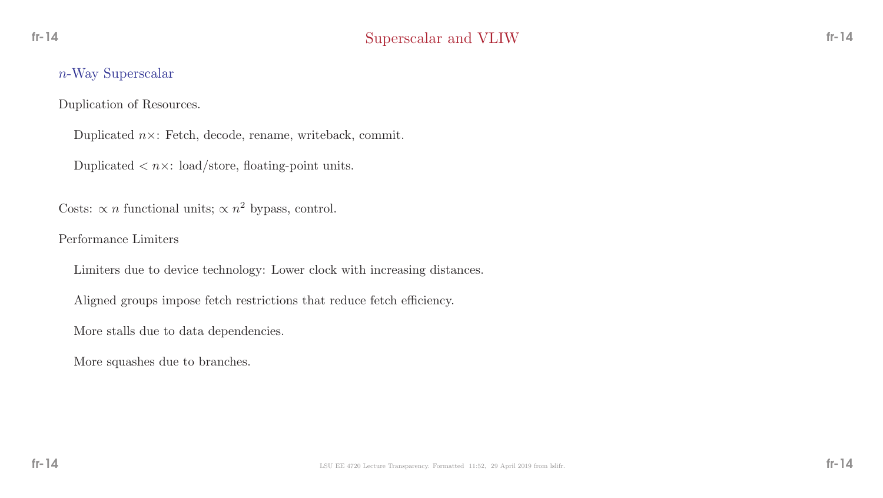### n-Way Superscalar

Duplication of Resources.

Duplicated  $n \times$ : Fetch, decode, rename, writeback, commit.

Duplicated  $\langle n \times : \text{load/store}, \text{floating-point units.} \rangle$ 

Costs:  $\propto n$  functional units;  $\propto n^2$  bypass, control.

Performance Limiters

Limiters due to device technology: Lower clock with increasing distances.

Aligned groups impose fetch restrictions that reduce fetch efficiency.

More stalls due to data dependencies.

More squashes due to branches.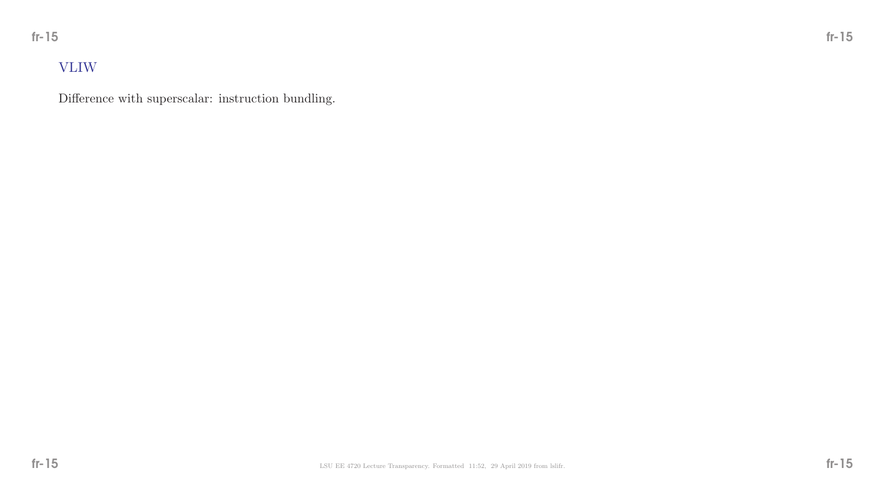# VLIW

Difference with superscalar: instruction bundling.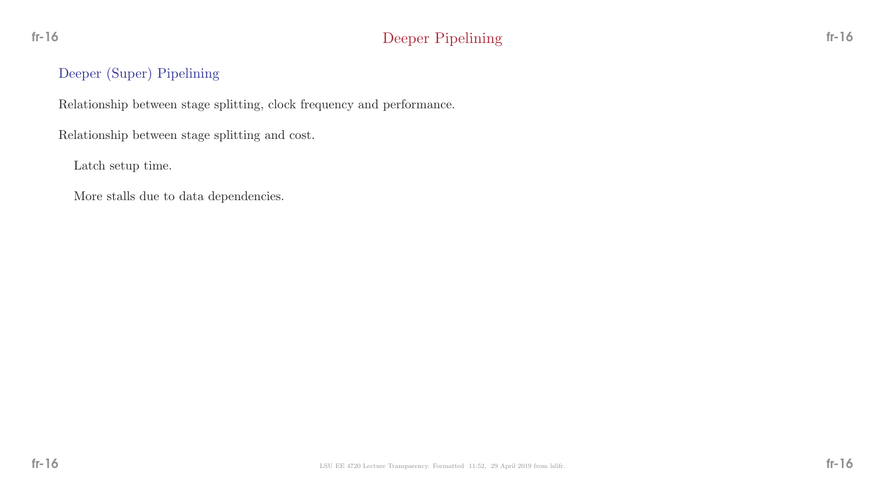## Deeper (Super) Pipelining

Relationship between stage splitting, clock frequency and performance.

Relationship between stage splitting and cost.

Latch setup time.

More stalls due to data dependencies.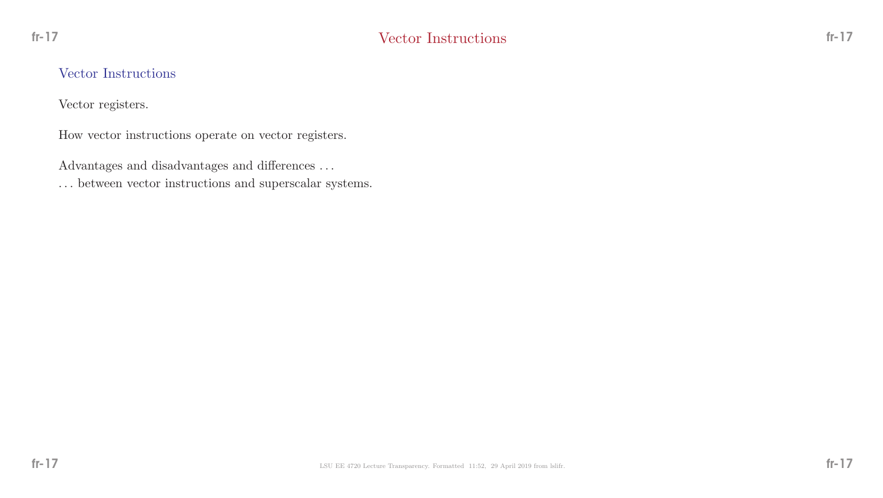### Vector Instructions

Vector registers.

How vector instructions operate on vector registers.

Advantages and disadvantages and differences  $\ldots$ 

 $\ldots$  between vector instructions and superscalar systems.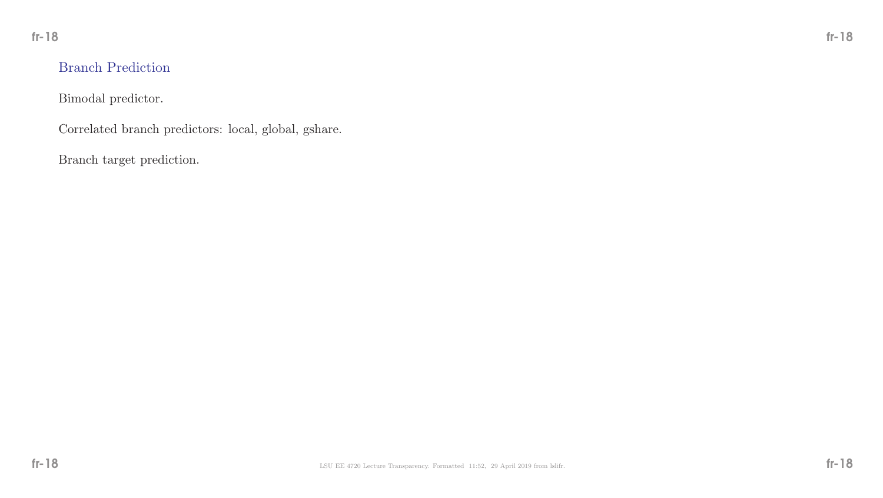## Branch Prediction

Bimodal predictor.

Correlated branch predictors: local, global, gshare.

Branch target prediction.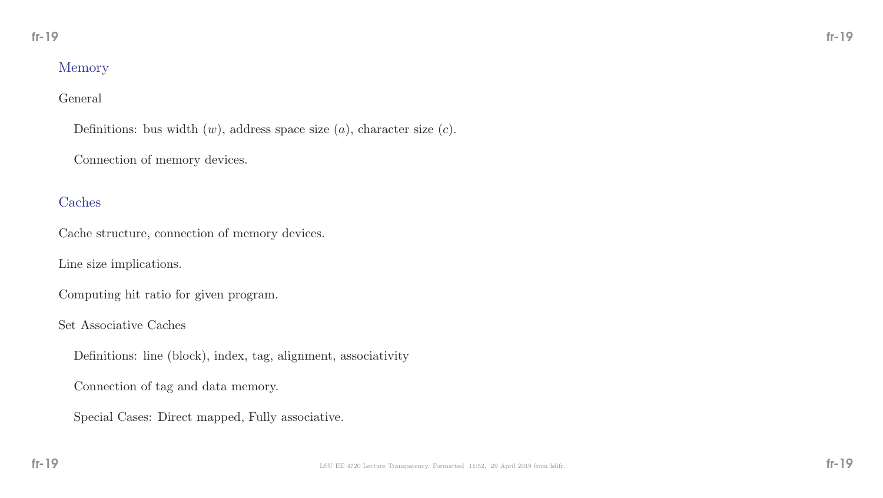## Memory

### General

Definitions: bus width  $(w)$ , address space size  $(a)$ , character size  $(c)$ .

Connection of memory devices.

## Caches

Cache structure, connection of memory devices.

Line size implications.

Computing hit ratio for given program.

Set Associative Caches

Definitions: line (block), index, tag, alignment, associativity

Connection of tag and data memory.

Special Cases: Direct mapped, Fully associative.